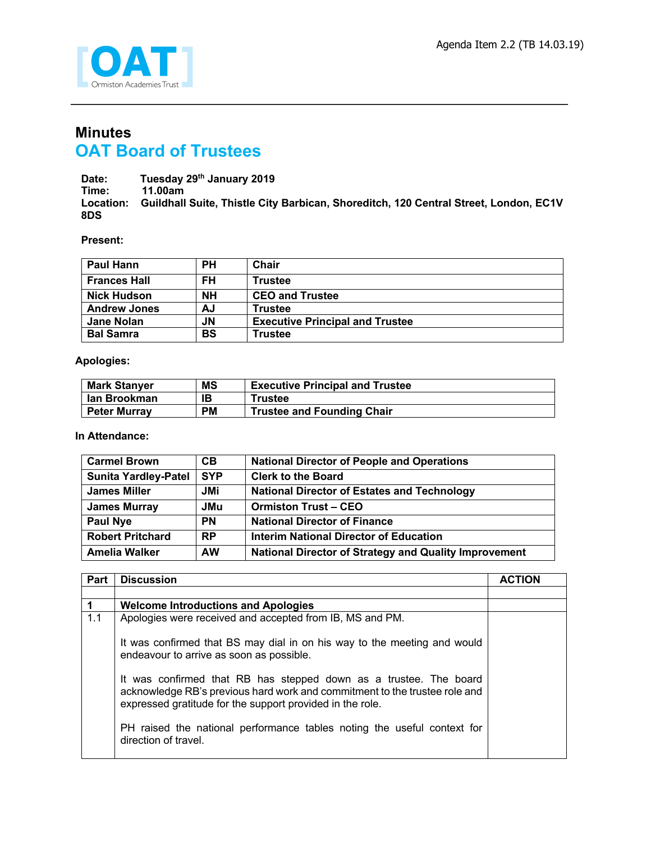

## **Minutes OAT Board of Trustees**

**Date: Tuesday 29th January 2019 Time: 11.00am Location: Guildhall Suite, Thistle City Barbican, Shoreditch, 120 Central Street, London, EC1V 8DS**

**Present:**

| <b>Paul Hann</b>    | <b>PH</b> | Chair                                  |
|---------------------|-----------|----------------------------------------|
| <b>Frances Hall</b> | FH        | <b>Trustee</b>                         |
| <b>Nick Hudson</b>  | NΗ        | <b>CEO and Trustee</b>                 |
| <b>Andrew Jones</b> | AJ        | <b>Trustee</b>                         |
| <b>Jane Nolan</b>   | JN        | <b>Executive Principal and Trustee</b> |
| <b>Bal Samra</b>    | <b>BS</b> | <b>Trustee</b>                         |

**Apologies:**

| <b>Mark Stanyer</b> | <b>MS</b> | <b>Executive Principal and Trustee</b> |
|---------------------|-----------|----------------------------------------|
| lan Brookman        | ΙB        | Trustee                                |
| <b>Peter Murrav</b> | <b>PM</b> | <b>Trustee and Founding Chair</b>      |

**In Attendance:**

| <b>Carmel Brown</b>         | CB         | <b>National Director of People and Operations</b>            |
|-----------------------------|------------|--------------------------------------------------------------|
| <b>Sunita Yardley-Patel</b> | <b>SYP</b> | <b>Clerk to the Board</b>                                    |
| <b>James Miller</b>         | JMi        | <b>National Director of Estates and Technology</b>           |
| <b>James Murray</b>         | <b>JMu</b> | <b>Ormiston Trust - CEO</b>                                  |
| <b>Paul Nye</b>             | <b>PN</b>  | <b>National Director of Finance</b>                          |
| <b>Robert Pritchard</b>     | <b>RP</b>  | Interim National Director of Education                       |
| Amelia Walker               | <b>AW</b>  | <b>National Director of Strategy and Quality Improvement</b> |

| Part | <b>Discussion</b>                                                                                                                                                                                            | <b>ACTION</b> |
|------|--------------------------------------------------------------------------------------------------------------------------------------------------------------------------------------------------------------|---------------|
|      |                                                                                                                                                                                                              |               |
| 1    | <b>Welcome Introductions and Apologies</b>                                                                                                                                                                   |               |
| 1.1  | Apologies were received and accepted from IB, MS and PM.                                                                                                                                                     |               |
|      | It was confirmed that BS may dial in on his way to the meeting and would<br>endeavour to arrive as soon as possible.                                                                                         |               |
|      | It was confirmed that RB has stepped down as a trustee. The board<br>acknowledge RB's previous hard work and commitment to the trustee role and<br>expressed gratitude for the support provided in the role. |               |
|      | PH raised the national performance tables noting the useful context for<br>direction of travel.                                                                                                              |               |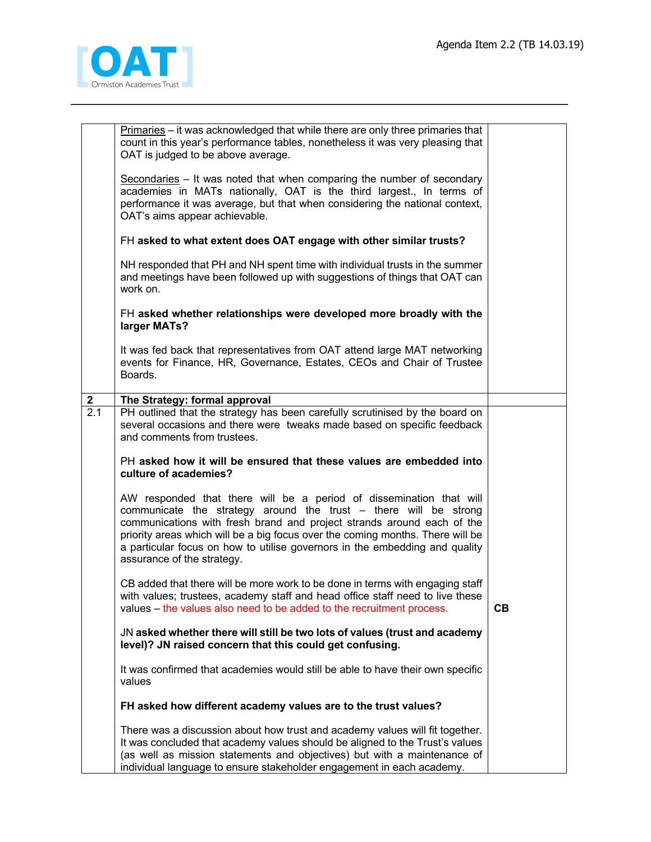

|                  | Primaries - it was acknowledged that while there are only three primaries that<br>count in this year's performance tables, nonetheless it was very pleasing that<br>OAT is judged to be above average.                                                                                                                                                                                                           |    |
|------------------|------------------------------------------------------------------------------------------------------------------------------------------------------------------------------------------------------------------------------------------------------------------------------------------------------------------------------------------------------------------------------------------------------------------|----|
|                  | Secondaries - It was noted that when comparing the number of secondary<br>academies in MATs nationally, OAT is the third largest., In terms of<br>performance it was average, but that when considering the national context,<br>OAT's aims appear achievable.                                                                                                                                                   |    |
|                  | FH asked to what extent does OAT engage with other similar trusts?                                                                                                                                                                                                                                                                                                                                               |    |
|                  | NH responded that PH and NH spent time with individual trusts in the summer<br>and meetings have been followed up with suggestions of things that OAT can<br>work on.                                                                                                                                                                                                                                            |    |
|                  | FH asked whether relationships were developed more broadly with the<br>larger MATs?                                                                                                                                                                                                                                                                                                                              |    |
|                  | It was fed back that representatives from OAT attend large MAT networking<br>events for Finance, HR, Governance, Estates, CEOs and Chair of Trustee<br>Boards.                                                                                                                                                                                                                                                   |    |
| $\mathbf{2}$     | The Strategy: formal approval                                                                                                                                                                                                                                                                                                                                                                                    |    |
| $\overline{2.1}$ | PH outlined that the strategy has been carefully scrutinised by the board on<br>several occasions and there were tweaks made based on specific feedback<br>and comments from trustees.                                                                                                                                                                                                                           |    |
|                  | PH asked how it will be ensured that these values are embedded into<br>culture of academies?                                                                                                                                                                                                                                                                                                                     |    |
|                  | AW responded that there will be a period of dissemination that will<br>communicate the strategy around the trust - there will be strong<br>communications with fresh brand and project strands around each of the<br>priority areas which will be a big focus over the coming months. There will be<br>a particular focus on how to utilise governors in the embedding and quality<br>assurance of the strategy. |    |
|                  | CB added that there will be more work to be done in terms with engaging staff<br>with values; trustees, academy staff and head office staff need to live these<br>values – the values also need to be added to the recruitment process.                                                                                                                                                                          | CB |
|                  | JN asked whether there will still be two lots of values (trust and academy<br>level)? JN raised concern that this could get confusing.                                                                                                                                                                                                                                                                           |    |
|                  | It was confirmed that academies would still be able to have their own specific<br>values                                                                                                                                                                                                                                                                                                                         |    |
|                  | FH asked how different academy values are to the trust values?                                                                                                                                                                                                                                                                                                                                                   |    |
|                  | There was a discussion about how trust and academy values will fit together.<br>It was concluded that academy values should be aligned to the Trust's values<br>(as well as mission statements and objectives) but with a maintenance of<br>individual language to ensure stakeholder engagement in each academy.                                                                                                |    |